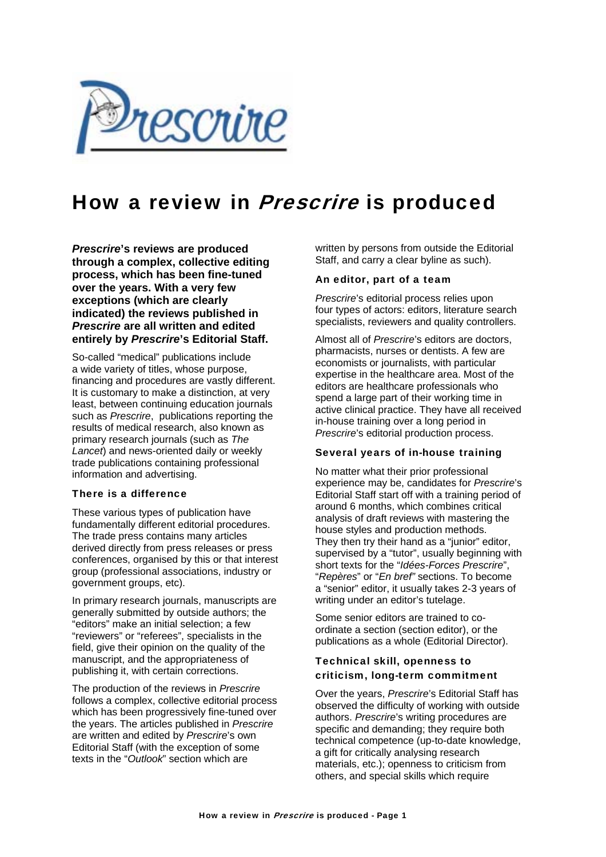

# How a review in Prescrire is produced

*Prescrire***'s reviews are produced through a complex, collective editing process, which has been fine-tuned over the years. With a very few exceptions (which are clearly indicated) the reviews published in**  *Prescrire* **are all written and edited entirely by** *Prescrire***'s Editorial Staff.** 

So-called "medical" publications include a wide variety of titles, whose purpose, financing and procedures are vastly different. It is customary to make a distinction, at very least, between continuing education journals such as *Prescrire*, publications reporting the results of medical research, also known as primary research journals (such as *The Lancet*) and news-oriented daily or weekly trade publications containing professional information and advertising.

#### There is a difference

These various types of publication have fundamentally different editorial procedures. The trade press contains many articles derived directly from press releases or press conferences, organised by this or that interest group (professional associations, industry or government groups, etc).

In primary research journals, manuscripts are generally submitted by outside authors; the "editors" make an initial selection; a few "reviewers" or "referees", specialists in the field, give their opinion on the quality of the manuscript, and the appropriateness of publishing it, with certain corrections.

The production of the reviews in *Prescrire* follows a complex, collective editorial process which has been progressively fine-tuned over the years. The articles published in *Prescrire* are written and edited by *Prescrire*'s own Editorial Staff (with the exception of some texts in the "*Outlook*" section which are

written by persons from outside the Editorial Staff, and carry a clear byline as such).

#### An editor, part of a team

*Prescrire*'s editorial process relies upon four types of actors: editors, literature search specialists, reviewers and quality controllers.

Almost all of *Prescrire*'s editors are doctors, pharmacists, nurses or dentists. A few are economists or journalists, with particular expertise in the healthcare area. Most of the editors are healthcare professionals who spend a large part of their working time in active clinical practice. They have all received in-house training over a long period in *Prescrire*'s editorial production process.

#### Several years of in-house training

No matter what their prior professional experience may be, candidates for *Prescrire*'s Editorial Staff start off with a training period of around 6 months, which combines critical analysis of draft reviews with mastering the house styles and production methods. They then try their hand as a "junior" editor, supervised by a "tutor", usually beginning with short texts for the "*Idées-Forces Prescrire*", "*Repères*" or "*En bref"* sections. To become a "senior" editor, it usually takes 2-3 years of writing under an editor's tutelage.

Some senior editors are trained to coordinate a section (section editor), or the publications as a whole (Editorial Director).

### Technical skill, openness to criticism, long-term commitment

Over the years, *Prescrire*'s Editorial Staff has observed the difficulty of working with outside authors. *Prescrire*'s writing procedures are specific and demanding; they require both technical competence (up-to-date knowledge, a gift for critically analysing research materials, etc.); openness to criticism from others, and special skills which require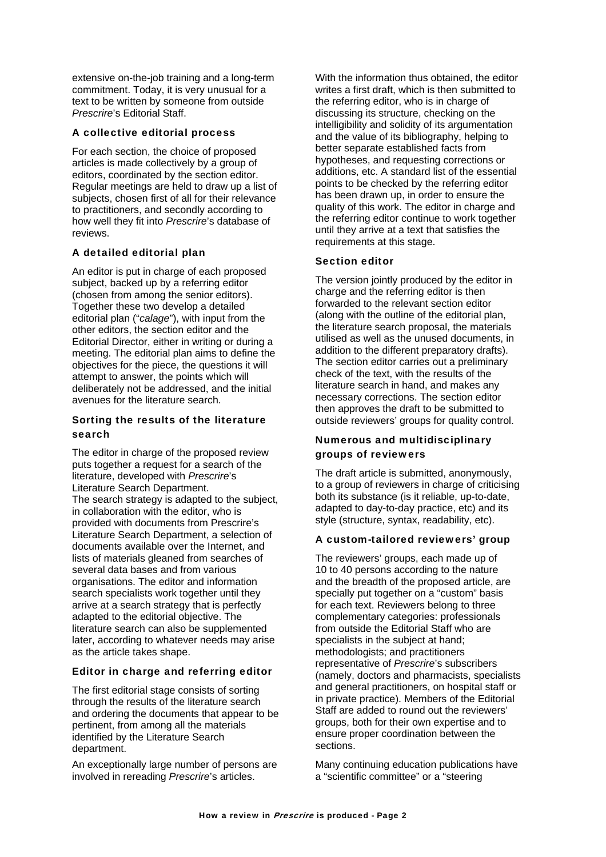extensive on-the-job training and a long-term commitment. Today, it is very unusual for a text to be written by someone from outside *Prescrire*'s Editorial Staff.

## A collective editorial process

For each section, the choice of proposed articles is made collectively by a group of editors, coordinated by the section editor. Regular meetings are held to draw up a list of subjects, chosen first of all for their relevance to practitioners, and secondly according to how well they fit into *Prescrire*'s database of reviews

## A detailed editorial plan

An editor is put in charge of each proposed subject, backed up by a referring editor (chosen from among the senior editors). Together these two develop a detailed editorial plan ("*calage*"), with input from the other editors, the section editor and the Editorial Director, either in writing or during a meeting. The editorial plan aims to define the objectives for the piece, the questions it will attempt to answer, the points which will deliberately not be addressed, and the initial avenues for the literature search.

### Sorting the results of the literature search

The editor in charge of the proposed review puts together a request for a search of the literature, developed with *Prescrire*'s Literature Search Department. The search strategy is adapted to the subject, in collaboration with the editor, who is provided with documents from Prescrire's Literature Search Department, a selection of documents available over the Internet, and lists of materials gleaned from searches of several data bases and from various organisations. The editor and information search specialists work together until they arrive at a search strategy that is perfectly adapted to the editorial objective. The literature search can also be supplemented later, according to whatever needs may arise as the article takes shape.

### Editor in charge and referring editor

The first editorial stage consists of sorting through the results of the literature search and ordering the documents that appear to be pertinent, from among all the materials identified by the Literature Search department.

An exceptionally large number of persons are involved in rereading *Prescrire*'s articles.

With the information thus obtained, the editor writes a first draft, which is then submitted to the referring editor, who is in charge of discussing its structure, checking on the intelligibility and solidity of its argumentation and the value of its bibliography, helping to better separate established facts from hypotheses, and requesting corrections or additions, etc. A standard list of the essential points to be checked by the referring editor has been drawn up, in order to ensure the quality of this work. The editor in charge and the referring editor continue to work together until they arrive at a text that satisfies the requirements at this stage.

### Section editor

The version jointly produced by the editor in charge and the referring editor is then forwarded to the relevant section editor (along with the outline of the editorial plan, the literature search proposal, the materials utilised as well as the unused documents, in addition to the different preparatory drafts). The section editor carries out a preliminary check of the text, with the results of the literature search in hand, and makes any necessary corrections. The section editor then approves the draft to be submitted to outside reviewers' groups for quality control.

## Numerous and multidisciplinary groups of reviewers

The draft article is submitted, anonymously, to a group of reviewers in charge of criticising both its substance (is it reliable, up-to-date, adapted to day-to-day practice, etc) and its style (structure, syntax, readability, etc).

### A custom-tailored reviewers' group

The reviewers' groups, each made up of 10 to 40 persons according to the nature and the breadth of the proposed article, are specially put together on a "custom" basis for each text. Reviewers belong to three complementary categories: professionals from outside the Editorial Staff who are specialists in the subject at hand; methodologists; and practitioners representative of *Prescrire*'s subscribers (namely, doctors and pharmacists, specialists and general practitioners, on hospital staff or in private practice). Members of the Editorial Staff are added to round out the reviewers' groups, both for their own expertise and to ensure proper coordination between the sections.

Many continuing education publications have a "scientific committee" or a "steering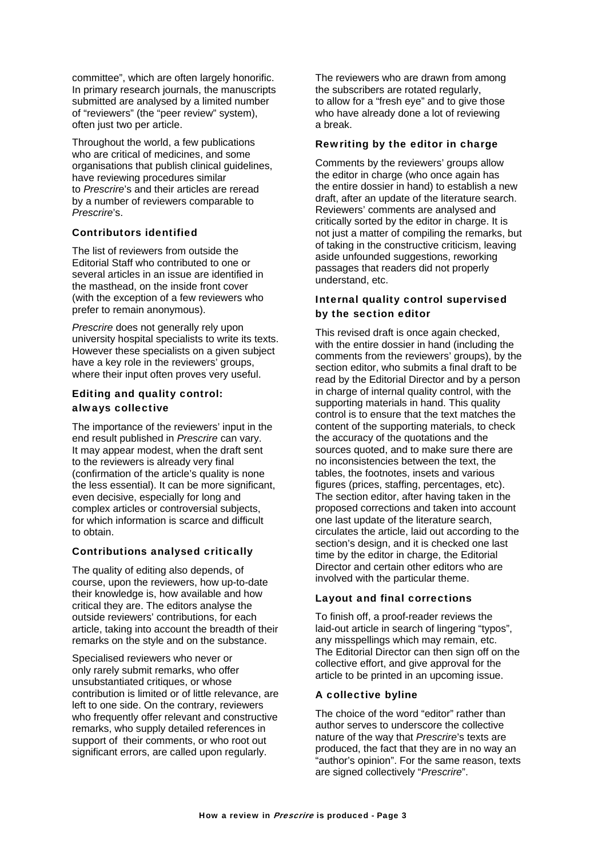committee", which are often largely honorific. In primary research journals, the manuscripts submitted are analysed by a limited number of "reviewers" (the "peer review" system), often just two per article.

Throughout the world, a few publications who are critical of medicines, and some organisations that publish clinical guidelines, have reviewing procedures similar to *Prescrire*'s and their articles are reread by a number of reviewers comparable to *Prescrire*'s.

#### Contributors identified

The list of reviewers from outside the Editorial Staff who contributed to one or several articles in an issue are identified in the masthead, on the inside front cover (with the exception of a few reviewers who prefer to remain anonymous).

*Prescrire* does not generally rely upon university hospital specialists to write its texts. However these specialists on a given subject have a key role in the reviewers' groups, where their input often proves very useful.

### Editing and quality control: always collective

The importance of the reviewers' input in the end result published in *Prescrire* can vary. It may appear modest, when the draft sent to the reviewers is already very final (confirmation of the article's quality is none the less essential). It can be more significant, even decisive, especially for long and complex articles or controversial subjects, for which information is scarce and difficult to obtain.

### Contributions analysed critically

The quality of editing also depends, of course, upon the reviewers, how up-to-date their knowledge is, how available and how critical they are. The editors analyse the outside reviewers' contributions, for each article, taking into account the breadth of their remarks on the style and on the substance.

Specialised reviewers who never or only rarely submit remarks, who offer unsubstantiated critiques, or whose contribution is limited or of little relevance, are left to one side. On the contrary, reviewers who frequently offer relevant and constructive remarks, who supply detailed references in support of their comments, or who root out significant errors, are called upon regularly.

The reviewers who are drawn from among the subscribers are rotated regularly, to allow for a "fresh eye" and to give those who have already done a lot of reviewing a break.

#### Rewriting by the editor in charge

Comments by the reviewers' groups allow the editor in charge (who once again has the entire dossier in hand) to establish a new draft, after an update of the literature search. Reviewers' comments are analysed and critically sorted by the editor in charge. It is not just a matter of compiling the remarks, but of taking in the constructive criticism, leaving aside unfounded suggestions, reworking passages that readers did not properly understand, etc.

## Internal quality control supervised by the section editor

This revised draft is once again checked, with the entire dossier in hand (including the comments from the reviewers' groups), by the section editor, who submits a final draft to be read by the Editorial Director and by a person in charge of internal quality control, with the supporting materials in hand. This quality control is to ensure that the text matches the content of the supporting materials, to check the accuracy of the quotations and the sources quoted, and to make sure there are no inconsistencies between the text, the tables, the footnotes, insets and various figures (prices, staffing, percentages, etc). The section editor, after having taken in the proposed corrections and taken into account one last update of the literature search, circulates the article, laid out according to the section's design, and it is checked one last time by the editor in charge, the Editorial Director and certain other editors who are involved with the particular theme.

### Layout and final corrections

To finish off, a proof-reader reviews the laid-out article in search of lingering "typos", any misspellings which may remain, etc. The Editorial Director can then sign off on the collective effort, and give approval for the article to be printed in an upcoming issue.

### A collective byline

The choice of the word "editor" rather than author serves to underscore the collective nature of the way that *Prescrire*'s texts are produced, the fact that they are in no way an "author's opinion". For the same reason, texts are signed collectively "*Prescrire*".